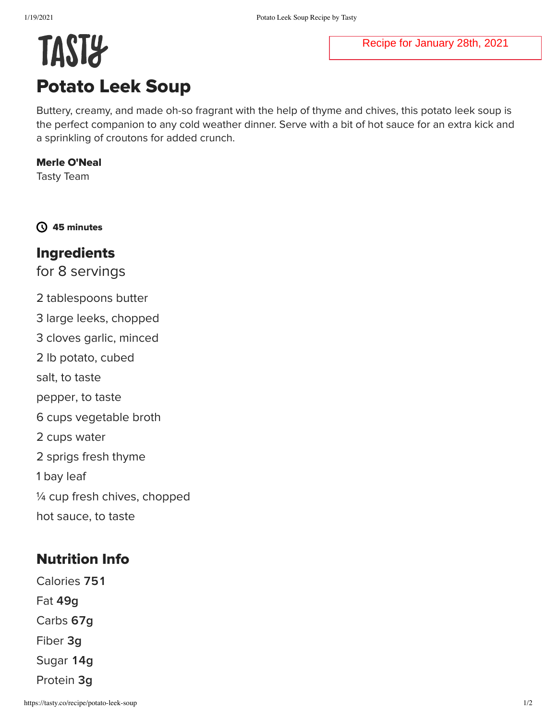#### Recipe for January 28th, 2021

# **TAST&** Potato Leek Soup

Buttery, creamy, and made oh-so fragrant with the help of thyme and chives, this potato leek soup is the perfect companion to any cold weather dinner. Serve with a bit of hot sauce for an extra kick and a sprinkling of croutons for added crunch.

#### Merle O'Neal

Tasty Team

45 minutes

## Ingredients

for 8 servings

2 tablespoons butter 3 large leeks, chopped 3 cloves garlic, minced 2 lb potato, cubed salt, to taste pepper, to taste 6 cups vegetable broth 2 cups water 2 sprigs fresh thyme 1 bay leaf ¼ cup fresh chives, chopped hot sauce, to taste

## Nutrition Info

Calories 751 Fat **g** Carbs **g** Fiber **g** Sugar 14g Protein **g**